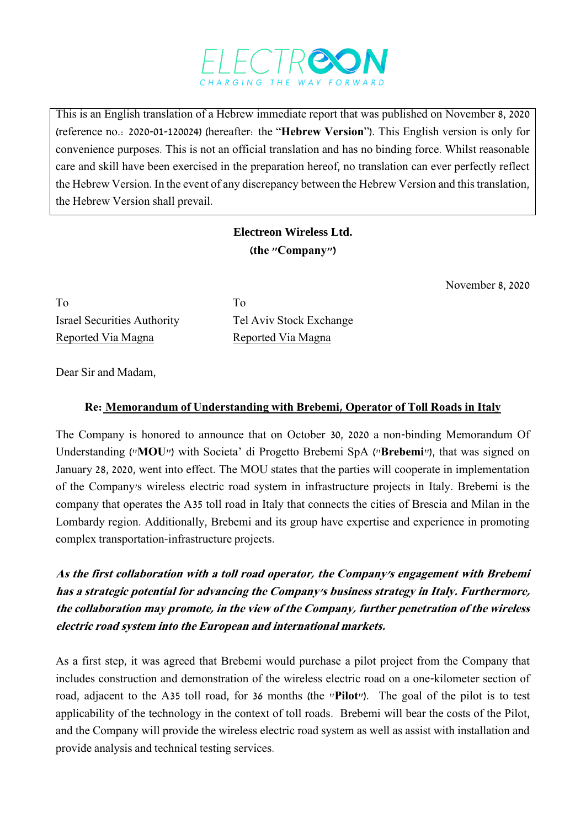

This is an English translation of a Hebrew immediate report that was published on November 8, 2020 (reference no.: 2020-01-120024) (hereafter: the "**Hebrew Version**"). This English version is only for convenience purposes. This is not an official translation and has no binding force. Whilst reasonable care and skill have been exercised in the preparation hereof, no translation can ever perfectly reflect the Hebrew Version. In the event of any discrepancy between the Hebrew Version and this translation, the Hebrew Version shall prevail.

## **Electreon Wireless Ltd. )the "Company"(**

November 8, 2020

To To Israel Securities Authority Tel Aviv Stock Exchange Reported Via Magna<br>
Reported Via Magna

Dear Sir and Madam,

## **Re: Memorandum of Understanding with Brebemi, Operator of Toll Roads in Italy**

The Company is honored to announce that on October 30, 2020 a non-binding Memorandum Of Understanding ("**MOU**") with Societa' di Progetto Brebemi SpA ("**Brebemi**"), that was signed on January 28, 2020, went into effect. The MOU states that the parties will cooperate in implementation of the Company's wireless electric road system in infrastructure projects in Italy. Brebemi is the company that operates the A35 toll road in Italy that connects the cities of Brescia and Milan in the Lombardy region. Additionally, Brebemi and its group have expertise and experience in promoting complex transportation-infrastructure projects.

**As the first collaboration with a toll road operator, the Company's engagement with Brebemi has a strategic potential for advancing the Company's business strategy in Italy. Furthermore, the collaboration may promote, in the view of the Company, further penetration of the wireless electric road system into the European and international markets.**

As a first step, it was agreed that Brebemi would purchase a pilot project from the Company that includes construction and demonstration of the wireless electric road on a one-kilometer section of road, adjacent to the A35 toll road, for 36 months (the "**Pilot**"). The goal of the pilot is to test applicability of the technology in the context of toll roads. Brebemi will bear the costs of the Pilot, and the Company will provide the wireless electric road system as well as assist with installation and provide analysis and technical testing services.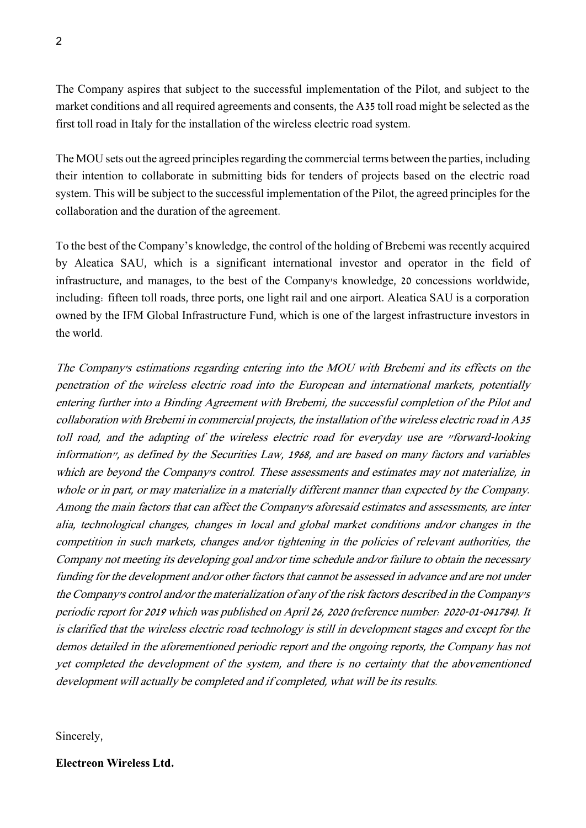The Company aspires that subject to the successful implementation of the Pilot, and subject to the market conditions and all required agreements and consents, the A35 toll road might be selected as the first toll road in Italy for the installation of the wireless electric road system.

The MOU sets out the agreed principles regarding the commercial terms between the parties, including their intention to collaborate in submitting bids for tenders of projects based on the electric road system. This will be subject to the successful implementation of the Pilot, the agreed principles for the collaboration and the duration of the agreement.

To the best of the Company's knowledge, the control of the holding of Brebemi was recently acquired by Aleatica SAU, which is a significant international investor and operator in the field of infrastructure, and manages, to the best of the Company's knowledge, 20 concessions worldwide, including: fifteen toll roads, three ports, one light rail and one airport. Aleatica SAU is a corporation owned by the IFM Global Infrastructure Fund, which is one of the largest infrastructure investors in the world.

The Company's estimations regarding entering into the MOU with Brebemi and its effects on the penetration of the wireless electric road into the European and international markets, potentially entering further into a Binding Agreement with Brebemi, the successful completion of the Pilot and collaboration with Brebemi in commercial projects, the installation of the wireless electric road in A35 toll road, and the adapting of the wireless electric road for everyday use are "forward-looking information", as defined by the Securities Law, 1968, and are based on many factors and variables which are beyond the Company's control. These assessments and estimates may not materialize, in whole or in part, or may materialize in a materially different manner than expected by the Company. Among the main factors that can affect the Company's aforesaid estimates and assessments, are inter alia, technological changes, changes in local and global market conditions and/or changes in the competition in such markets, changes and/or tightening in the policies of relevant authorities, the Company not meeting its developing goal and/or time schedule and/or failure to obtain the necessary funding for the development and/or other factors that cannot be assessed in advance and are not under the Company's control and/or the materialization of any of the risk factors described in the Company's periodic report for 2019 which was published on April 26, 2020 (reference number: 2020-01-041784). It is clarified that the wireless electric road technology is still in development stages and except for the demos detailed in the aforementioned periodic report and the ongoing reports, the Company has not yet completed the development of the system, and there is no certainty that the abovementioned development will actually be completed and if completed, what will be its results.

Sincerely,

**Electreon Wireless Ltd.**